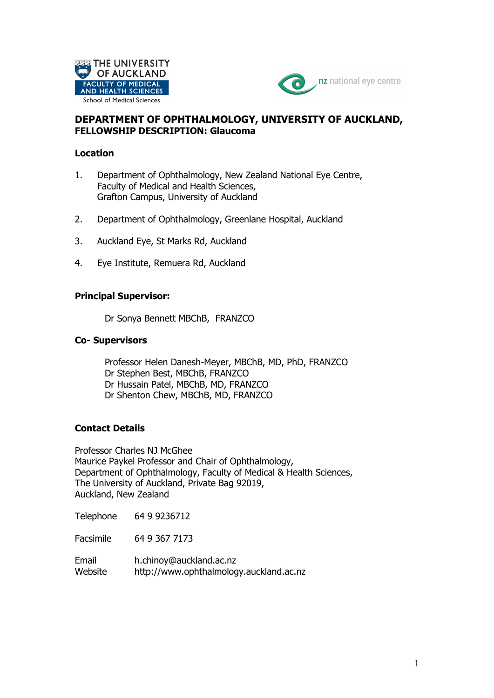



# **DEPARTMENT OF OPHTHALMOLOGY, UNIVERSITY OF AUCKLAND, FELLOWSHIP DESCRIPTION: Glaucoma**

### **Location**

- 1. Department of Ophthalmology, New Zealand National Eye Centre, Faculty of Medical and Health Sciences, Grafton Campus, University of Auckland
- 2. Department of Ophthalmology, Greenlane Hospital, Auckland
- 3. Auckland Eye, St Marks Rd, Auckland
- 4. Eye Institute, Remuera Rd, Auckland

## **Principal Supervisor:**

Dr Sonya Bennett MBChB, FRANZCO

#### **Co- Supervisors**

Professor Helen Danesh-Meyer, MBChB, MD, PhD, FRANZCO Dr Stephen Best, MBChB, FRANZCO Dr Hussain Patel, MBChB, MD, FRANZCO Dr Shenton Chew, MBChB, MD, FRANZCO

## **Contact Details**

Professor Charles NJ McGhee Maurice Paykel Professor and Chair of Ophthalmology, Department of Ophthalmology, Faculty of Medical & Health Sciences, The University of Auckland, Private Bag 92019, Auckland, New Zealand

Telephone 64 9 9236712

Facsimile 64 9 367 7173

Email h.chinoy@auckland.ac.nz Website http://www.ophthalmology.auckland.ac.nz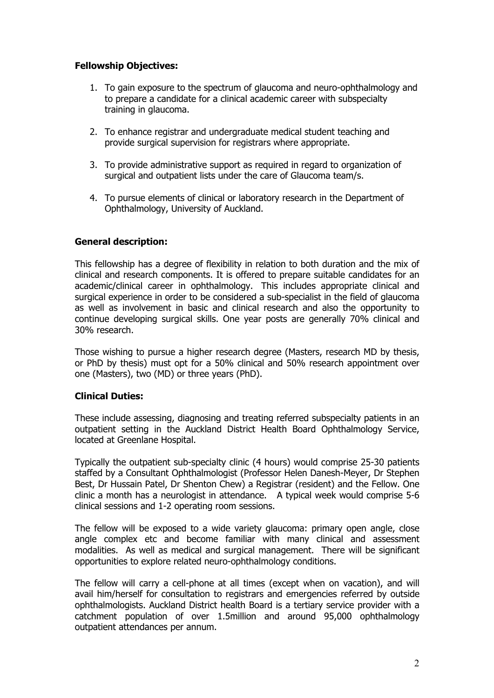## **Fellowship Objectives:**

- 1. To gain exposure to the spectrum of glaucoma and neuro-ophthalmology and to prepare a candidate for a clinical academic career with subspecialty training in glaucoma.
- 2. To enhance registrar and undergraduate medical student teaching and provide surgical supervision for registrars where appropriate.
- 3. To provide administrative support as required in regard to organization of surgical and outpatient lists under the care of Glaucoma team/s.
- 4. To pursue elements of clinical or laboratory research in the Department of Ophthalmology, University of Auckland.

## **General description:**

This fellowship has a degree of flexibility in relation to both duration and the mix of clinical and research components. It is offered to prepare suitable candidates for an academic/clinical career in ophthalmology. This includes appropriate clinical and surgical experience in order to be considered a sub-specialist in the field of glaucoma as well as involvement in basic and clinical research and also the opportunity to continue developing surgical skills. One year posts are generally 70% clinical and 30% research.

Those wishing to pursue a higher research degree (Masters, research MD by thesis, or PhD by thesis) must opt for a 50% clinical and 50% research appointment over one (Masters), two (MD) or three years (PhD).

#### **Clinical Duties:**

These include assessing, diagnosing and treating referred subspecialty patients in an outpatient setting in the Auckland District Health Board Ophthalmology Service, located at Greenlane Hospital.

Typically the outpatient sub-specialty clinic (4 hours) would comprise 25-30 patients staffed by a Consultant Ophthalmologist (Professor Helen Danesh-Meyer, Dr Stephen Best, Dr Hussain Patel, Dr Shenton Chew) a Registrar (resident) and the Fellow. One clinic a month has a neurologist in attendance. A typical week would comprise 5-6 clinical sessions and 1-2 operating room sessions.

The fellow will be exposed to a wide variety glaucoma: primary open angle, close angle complex etc and become familiar with many clinical and assessment modalities. As well as medical and surgical management. There will be significant opportunities to explore related neuro-ophthalmology conditions.

The fellow will carry a cell-phone at all times (except when on vacation), and will avail him/herself for consultation to registrars and emergencies referred by outside ophthalmologists. Auckland District health Board is a tertiary service provider with a catchment population of over 1.5million and around 95,000 ophthalmology outpatient attendances per annum.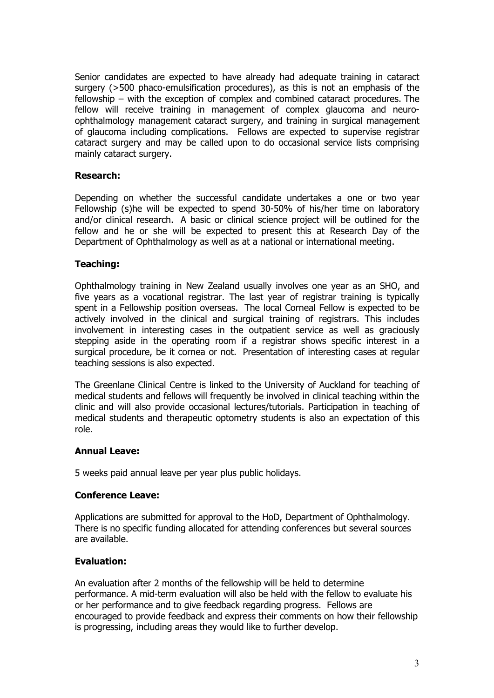Senior candidates are expected to have already had adequate training in cataract surgery (>500 phaco-emulsification procedures), as this is not an emphasis of the fellowship – with the exception of complex and combined cataract procedures. The fellow will receive training in management of complex glaucoma and neuroophthalmology management cataract surgery, and training in surgical management of glaucoma including complications. Fellows are expected to supervise registrar cataract surgery and may be called upon to do occasional service lists comprising mainly cataract surgery.

#### **Research:**

Depending on whether the successful candidate undertakes a one or two year Fellowship (s)he will be expected to spend 30-50% of his/her time on laboratory and/or clinical research. A basic or clinical science project will be outlined for the fellow and he or she will be expected to present this at Research Day of the Department of Ophthalmology as well as at a national or international meeting.

## **Teaching:**

Ophthalmology training in New Zealand usually involves one year as an SHO, and five years as a vocational registrar. The last year of registrar training is typically spent in a Fellowship position overseas. The local Corneal Fellow is expected to be actively involved in the clinical and surgical training of registrars. This includes involvement in interesting cases in the outpatient service as well as graciously stepping aside in the operating room if a registrar shows specific interest in a surgical procedure, be it cornea or not. Presentation of interesting cases at regular teaching sessions is also expected.

The Greenlane Clinical Centre is linked to the University of Auckland for teaching of medical students and fellows will frequently be involved in clinical teaching within the clinic and will also provide occasional lectures/tutorials. Participation in teaching of medical students and therapeutic optometry students is also an expectation of this role.

#### **Annual Leave:**

5 weeks paid annual leave per year plus public holidays.

#### **Conference Leave:**

Applications are submitted for approval to the HoD, Department of Ophthalmology. There is no specific funding allocated for attending conferences but several sources are available.

## **Evaluation:**

An evaluation after 2 months of the fellowship will be held to determine performance. A mid-term evaluation will also be held with the fellow to evaluate his or her performance and to give feedback regarding progress. Fellows are encouraged to provide feedback and express their comments on how their fellowship is progressing, including areas they would like to further develop.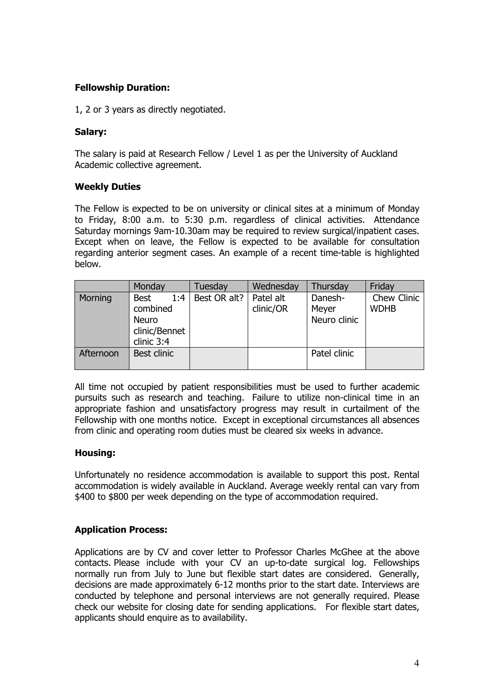# **Fellowship Duration:**

1, 2 or 3 years as directly negotiated.

## **Salary:**

The salary is paid at Research Fellow / Level 1 as per the University of Auckland Academic collective agreement.

## **Weekly Duties**

The Fellow is expected to be on university or clinical sites at a minimum of Monday to Friday, 8:00 a.m. to 5:30 p.m. regardless of clinical activities. Attendance Saturday mornings 9am-10.30am may be required to review surgical/inpatient cases. Except when on leave, the Fellow is expected to be available for consultation regarding anterior segment cases. An example of a recent time-table is highlighted below.

|           | Monday                                                                        | Tuesday      | Wednesday              | Thursday                         | Friday                     |
|-----------|-------------------------------------------------------------------------------|--------------|------------------------|----------------------------------|----------------------------|
| Morning   | 1:4<br><b>Best</b><br>combined<br><b>Neuro</b><br>clinic/Bennet<br>clinic 3:4 | Best OR alt? | Patel alt<br>clinic/OR | Danesh-<br>Meyer<br>Neuro clinic | Chew Clinic<br><b>WDHB</b> |
| Afternoon | Best clinic                                                                   |              |                        | Patel clinic                     |                            |

All time not occupied by patient responsibilities must be used to further academic pursuits such as research and teaching. Failure to utilize non-clinical time in an appropriate fashion and unsatisfactory progress may result in curtailment of the Fellowship with one months notice. Except in exceptional circumstances all absences from clinic and operating room duties must be cleared six weeks in advance.

## **Housing:**

Unfortunately no residence accommodation is available to support this post. Rental accommodation is widely available in Auckland. Average weekly rental can vary from \$400 to \$800 per week depending on the type of accommodation required.

## **Application Process:**

Applications are by CV and cover letter to Professor Charles McGhee at the above contacts. Please include with your CV an up-to-date surgical log. Fellowships normally run from July to June but flexible start dates are considered. Generally, decisions are made approximately 6-12 months prior to the start date. Interviews are conducted by telephone and personal interviews are not generally required. Please check our website for closing date for sending applications. For flexible start dates, applicants should enquire as to availability.